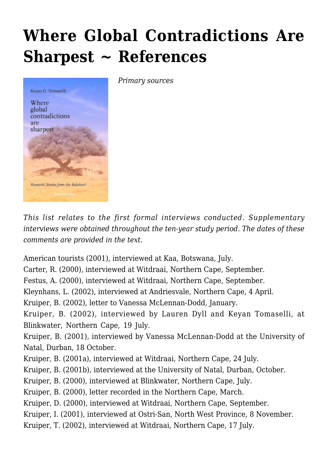## **[Where Global Contradictions Are](https://rozenbergquarterly.com/where-global-contradictions-are-sharpest-references/) [Sharpest ~ References](https://rozenbergquarterly.com/where-global-contradictions-are-sharpest-references/)**



*Primary sources*

*This list relates to the first formal interviews conducted. Supplementary interviews were obtained throughout the ten-year study period. The dates of these comments are provided in the text.*

American tourists (2001), interviewed at Kaa, Botswana, July.

Carter, R. (2000), interviewed at Witdraai, Northern Cape, September.

Festus, A. (2000), interviewed at Witdraai, Northern Cape, September.

Kleynhans, L. (2002), interviewed at Andriesvale, Northern Cape, 4 April.

Kruiper, B. (2002), letter to Vanessa McLennan-Dodd, January.

Kruiper, B. (2002), interviewed by Lauren Dyll and Keyan Tomaselli, at Blinkwater, Northern Cape, 19 July.

Kruiper, B. (2001), interviewed by Vanessa McLennan-Dodd at the University of Natal, Durban, 18 October.

Kruiper, B. (2001a), interviewed at Witdraai, Northern Cape, 24 July.

Kruiper, B. (2001b), interviewed at the University of Natal, Durban, October.

Kruiper, B. (2000), interviewed at Blinkwater, Northern Cape, July.

Kruiper, B. (2000), letter recorded in the Northern Cape, March.

Kruiper, D. (2000), interviewed at Witdraai, Northern Cape, September.

Kruiper, I. (2001), interviewed at Ostri-San, North West Province, 8 November.

Kruiper, T. (2002), interviewed at Witdraai, Northern Cape, 17 July.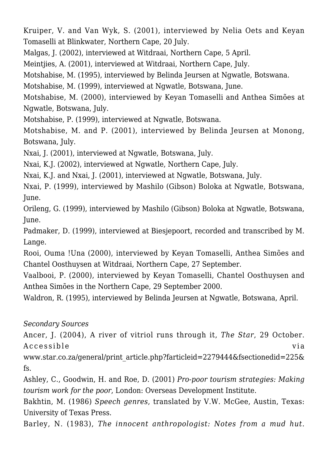Kruiper, V. and Van Wyk, S. (2001), interviewed by Nelia Oets and Keyan Tomaselli at Blinkwater, Northern Cape, 20 July.

Malgas, J. (2002), interviewed at Witdraai, Northern Cape, 5 April.

Meintjies, A. (2001), interviewed at Witdraai, Northern Cape, July.

Motshabise, M. (1995), interviewed by Belinda Jeursen at Ngwatle, Botswana.

Motshabise, M. (1999), interviewed at Ngwatle, Botswana, June.

Motshabise, M. (2000), interviewed by Keyan Tomaselli and Anthea Simões at Ngwatle, Botswana, July.

Motshabise, P. (1999), interviewed at Ngwatle, Botswana.

Motshabise, M. and P. (2001), interviewed by Belinda Jeursen at Monong, Botswana, July.

Nxai, J. (2001), interviewed at Ngwatle, Botswana, July.

Nxai, K.J. (2002), interviewed at Ngwatle, Northern Cape, July.

Nxai, K.J. and Nxai, J. (2001), interviewed at Ngwatle, Botswana, July.

Nxai, P. (1999), interviewed by Mashilo (Gibson) Boloka at Ngwatle, Botswana, June.

Orileng, G. (1999), interviewed by Mashilo (Gibson) Boloka at Ngwatle, Botswana, June.

Padmaker, D. (1999), interviewed at Biesjepoort, recorded and transcribed by M. Lange.

Rooi, Ouma !Una (2000), interviewed by Keyan Tomaselli, Anthea Simões and Chantel Oosthuysen at Witdraai, Northern Cape, 27 September.

Vaalbooi, P. (2000), interviewed by Keyan Tomaselli, Chantel Oosthuysen and Anthea Simões in the Northern Cape, 29 September 2000.

Waldron, R. (1995), interviewed by Belinda Jeursen at Ngwatle, Botswana, April.

## *Secondary Sources*

Ancer, J. (2004), A river of vitriol runs through it, *The Star*, 29 October. Accessible via

www.star.co.za/general/print\_article.php?farticleid=2279444&fsectionedid=225& fs.

Ashley, C., Goodwin, H. and Roe, D. (2001) *Pro-poor tourism strategies: Making tourism work for the poor*, London: Overseas Development Institute.

Bakhtin, M. (1986) *Speech genres*, translated by V.W. McGee, Austin, Texas: University of Texas Press.

Barley, N. (1983), *The innocent anthropologist: Notes from a mud hut*.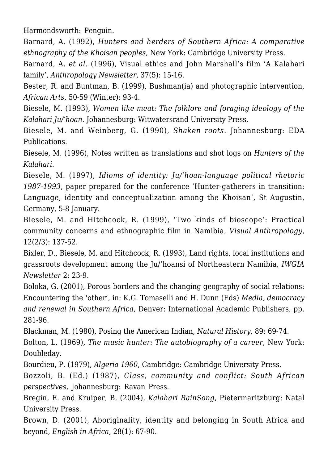Harmondsworth: Penguin.

Barnard, A. (1992), *Hunters and herders of Southern Africa: A comparative ethnography of the Khoisan peoples*, New York: Cambridge University Press.

Barnard, A. *et al.* (1996), Visual ethics and John Marshall's film 'A Kalahari family', *Anthropology Newsletter*, 37(5): 15-16.

Bester, R. and Buntman, B. (1999), Bushman(ia) and photographic intervention, *African Arts*, 50-59 (Winter): 93-4.

Biesele, M. (1993), *Women like meat: The folklore and foraging ideology of the Kalahari Ju/'hoan*. Johannesburg: Witwatersrand University Press.

Biesele, M. and Weinberg, G. (1990), *Shaken roots*. Johannesburg: EDA Publications.

Biesele, M. (1996), Notes written as translations and shot logs on *Hunters of the Kalahari*.

Biesele, M. (1997), *Idioms of identity: Ju/'hoan-language political rhetoric 1987-1993*, paper prepared for the conference 'Hunter-gatherers in transition: Language, identity and conceptualization among the Khoisan', St Augustin, Germany, 5-8 January.

Biesele, M. and Hitchcock, R. (1999), 'Two kinds of bioscope': Practical community concerns and ethnographic film in Namibia, *Visual Anthropology*, 12(2/3): 137-52.

Bixler, D., Biesele, M. and Hitchcock, R. (1993), Land rights, local institutions and grassroots development among the Ju/'hoansi of Northeastern Namibia, *IWGIA Newsletter* 2: 23-9.

Boloka, G. (2001), Porous borders and the changing geography of social relations: Encountering the 'other', in: K.G. Tomaselli and H. Dunn (Eds) *Media, democracy and renewal in Southern Africa*, Denver: International Academic Publishers, pp. 281-96.

Blackman, M. (1980), Posing the American Indian, *Natural History*, 89: 69-74. Bolton, L. (1969), *The music hunter: The autobiography of a career*, New York: Doubleday.

Bourdieu, P. (1979), *Algeria 1960*, Cambridge: Cambridge University Press.

Bozzoli, B. (Ed.) (1987), *Class, community and conflict: South African perspectives*, Johannesburg: Ravan Press.

Bregin, E. and Kruiper, B, (2004), *Kalahari RainSong*, Pietermaritzburg: Natal University Press.

Brown, D. (2001), Aboriginality, identity and belonging in South Africa and beyond, *English in Africa*, 28(1): 67-90.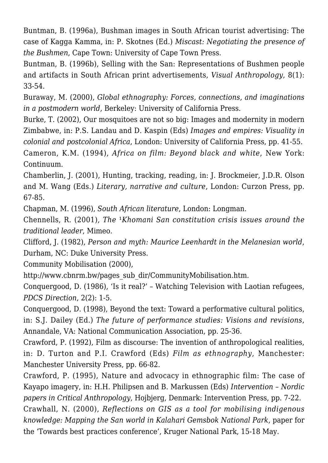Buntman, B. (1996a), Bushman images in South African tourist advertising: The case of Kagga Kamma, in: P. Skotnes (Ed.) *Miscast: Negotiating the presence of the Bushmen*, Cape Town: University of Cape Town Press.

Buntman, B. (1996b), Selling with the San: Representations of Bushmen people and artifacts in South African print advertisements, *Visual Anthropology*, 8(1): 33-54.

Buraway, M. (2000), *Global ethnography: Forces, connections, and imaginations in a postmodern world*, Berkeley: University of California Press.

Burke, T. (2002), Our mosquitoes are not so big: Images and modernity in modern Zimbabwe, in: P.S. Landau and D. Kaspin (Eds) *Images and empires: Visuality in colonial and postcolonial Africa*, London: University of California Press, pp. 41-55.

Cameron, K.M. (1994), *Africa on film: Beyond black and white*, New York: Continuum.

Chamberlin, J. (2001), Hunting, tracking, reading, in: J. Brockmeier, J.D.R. Olson and M. Wang (Eds.) *Literary, narrative and culture*, London: Curzon Press, pp. 67-85.

Chapman, M. (1996), *South African literature*, London: Longman.

Chennells, R. (2001). *The <sup>1</sup>Khomani San constitution crisis issues around the traditional leader*, Mimeo.

Clifford, J. (1982), *Person and myth: Maurice Leenhardt in the Melanesian world*, Durham, NC: Duke University Press.

Community Mobilisation (2000),

http://www.cbnrm.bw/pages\_sub\_dir/CommunityMobilisation.htm.

Conquergood, D. (1986), 'Is it real?' – Watching Television with Laotian refugees, *PDCS Direction*, 2(2): 1-5.

Conquergood, D. (1998), Beyond the text: Toward a performative cultural politics, in: S.J. Dailey (Ed.) *The future of performance studies: Visions and revisions*, Annandale, VA: National Communication Association, pp. 25-36.

Crawford, P. (1992), Film as discourse: The invention of anthropological realities, in: D. Turton and P.I. Crawford (Eds) *Film as ethnography*, Manchester: Manchester University Press, pp. 66-82.

Crawford, P. (1995), Nature and advocacy in ethnographic film: The case of Kayapo imagery, in: H.H. Philipsen and B. Markussen (Eds) *Intervention – Nordic papers in Critical Anthropology*, Hojbjerg, Denmark: Intervention Press, pp. 7-22.

Crawhall, N. (2000), *Reflections on GIS as a tool for mobilising indigenous knowledge: Mapping the San world in Kalahari Gemsbok National Park*, paper for the 'Towards best practices conference', Kruger National Park, 15-18 May.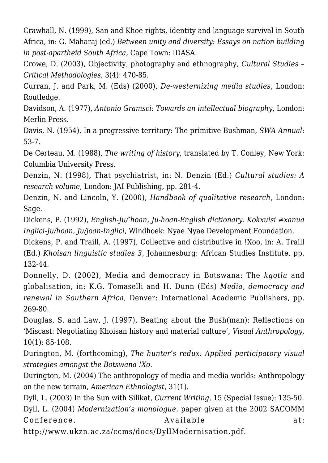Crawhall, N. (1999), San and Khoe rights, identity and language survival in South Africa, in: G. Maharaj (ed.) *Between unity and diversity: Essays on nation building in post-apartheid South Africa*, Cape Town: IDASA.

Crowe, D. (2003), Objectivity, photography and ethnography, *Cultural Studies – Critical Methodologies*, 3(4): 470-85.

Curran, J. and Park, M. (Eds) (2000), *De-westernizing media studies*, London: Routledge.

Davidson, A. (1977), *Antonio Gramsci: Towards an intellectual biography*, London: Merlin Press.

Davis, N. (1954), In a progressive territory: The primitive Bushman, *SWA Annual*: 53-7.

De Certeau, M. (1988), *The writing of history*, translated by T. Conley, New York: Columbia University Press.

Denzin, N. (1998), That psychiatrist, in: N. Denzin (Ed.) *Cultural studies: A research volume*, London: JAI Publishing, pp. 281-4.

Denzin, N. and Lincoln, Y. (2000), *Handbook of qualitative research,* London: Sage.

Dickens, P. (1992), *English-Ju/'hoan, Ju-hoan-English dictionary. Kokxuisi ≠xanua Inglici-Ju/hoan, Ju/joan-Inglici*, Windhoek: Nyae Nyae Development Foundation.

Dickens, P. and Traill, A. (1997), Collective and distributive in !Xoo, in: A. Traill (Ed.) *Khoisan linguistic studies 3*, Johannesburg: African Studies Institute, pp. 132-44.

Donnelly, D. (2002), Media and democracy in Botswana: The *kgotla* and globalisation, in: K.G. Tomaselli and H. Dunn (Eds) *Media, democracy and renewal in Southern Africa*, Denver: International Academic Publishers, pp. 269-80.

Douglas, S. and Law, J. (1997), Beating about the Bush(man): Reflections on 'Miscast: Negotiating Khoisan history and material culture', *Visual Anthropology*, 10(1): 85-108.

Durington, M. (forthcoming), *The hunter's redux: Applied participatory visual strategies amongst the Botswana !Xo*.

Durington, M. (2004) The anthropology of media and media worlds: Anthropology on the new terrain, *American Ethnologist*, 31(1).

Dyll, L. (2003) In the Sun with Silikat, *Current Writing*, 15 (Special Issue): 135-50. Dyll, L. (2004) *Modernization's monologue*, paper given at the 2002 SACOMM Conference. Available at:

http://www.ukzn.ac.za/ccms/docs/DyllModernisation.pdf.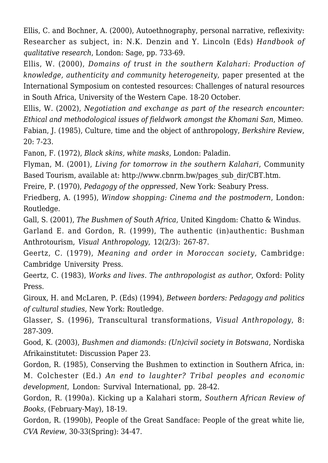Ellis, C. and Bochner, A. (2000), Autoethnography, personal narrative, reflexivity: Researcher as subject, in: N.K. Denzin and Y. Lincoln (Eds) *Handbook of qualitative research*, London: Sage, pp. 733-69.

Ellis, W. (2000), *Domains of trust in the southern Kalahari: Production of knowledge, authenticity and community heterogeneity*, paper presented at the International Symposium on contested resources: Challenges of natural resources in South Africa, University of the Western Cape. 18-20 October.

Ellis, W. (2002), *Negotiation and exchange as part of the research encounter: Ethical and methodological issues of fieldwork amongst the Khomani San*, Mimeo. Fabian, J. (1985), Culture, time and the object of anthropology, *Berkshire Review*, 20: 7-23.

Fanon, F. (1972), *Black skins, white masks*, London: Paladin.

Flyman, M. (2001), *Living for tomorrow in the southern Kalahari*, Community Based Tourism, available at: http://www.cbnrm.bw/pages\_sub\_dir/CBT.htm.

Freire, P. (1970), *Pedagogy of the oppressed*, New York: Seabury Press.

Friedberg, A. (1995), *Window shopping: Cinema and the postmodern*, London: Routledge.

Gall, S. (2001), *The Bushmen of South Africa*, United Kingdom: Chatto & Windus.

Garland E. and Gordon, R. (1999), The authentic (in)authentic: Bushman Anthrotourism, *Visual Anthropology*, 12(2/3): 267-87.

Geertz, C. (1979), *Meaning and order in Moroccan society*, Cambridge: Cambridge University Press.

Geertz, C. (1983), *Works and lives. The anthropologist as author*, Oxford: Polity Press.

Giroux, H. and McLaren, P. (Eds) (1994), *Between borders: Pedagogy and politics of cultural studies*, New York: Routledge.

Glasser, S. (1996), Transcultural transformations, *Visual Anthropology*, 8: 287-309.

Good, K. (2003), *Bushmen and diamonds: (Un)civil society in Botswana*, Nordiska Afrikainstitutet: Discussion Paper 23.

Gordon, R. (1985), Conserving the Bushmen to extinction in Southern Africa, in: M. Colchester (Ed.) *An end to laughter? Tribal peoples and economic development*, London: Survival International, pp. 28-42.

Gordon, R. (1990a). Kicking up a Kalahari storm, *Southern African Review of Books*, (February-May), 18-19.

Gordon, R. (1990b), People of the Great Sandface: People of the great white lie, *CVA Review*, 30-33(Spring): 34-47.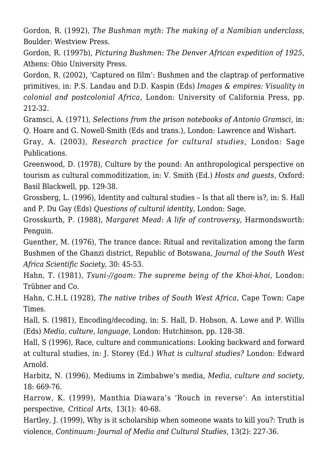Gordon, R. (1992), *The Bushman myth: The making of a Namibian underclass*, Boulder: Westview Press.

Gordon, R. (1997b), *Picturing Bushmen: The Denver African expedition of 1925*, Athens: Ohio University Press.

Gordon, R. (2002), 'Captured on film': Bushmen and the claptrap of performative primitives, in: P.S. Landau and D.D. Kaspin (Eds) *Images & empires: Visuality in colonial and postcolonial Africa*, London: University of California Press, pp. 212-32.

Gramsci, A. (1971), *Selections from the prison notebooks of Antonio Gramsci*, in: Q. Hoare and G. Nowell-Smith (Eds and trans.), London: Lawrence and Wishart.

Gray, A. (2003), *Research practice for cultural studies*, London: Sage Publications.

Greenwood, D. (1978), Culture by the pound: An anthropological perspective on tourism as cultural commoditization, in: V. Smith (Ed.) *Hosts and guests*, Oxford: Basil Blackwell, pp. 129-38.

Grossberg, L. (1996), Identity and cultural studies – Is that all there is?, in: S. Hall and P. Du Gay (Eds) *Questions of cultural identity*, London: Sage.

Grosskurth, P. (1988), *Margaret Mead: A life of controversy*, Harmondsworth: Penguin.

Guenther, M. (1976), The trance dance: Ritual and revitalization among the farm Bushmen of the Ghanzi district, Republic of Botswana, *Journal of the South West Africa Scientific Society*, 30: 45-53.

Hahn, T. (1981), *Tsuni-//goam: The supreme being of the Khoi-khoi*, London: Trübner and Co.

Hahn, C.H.L (1928), *The native tribes of South West Africa*, Cape Town: Cape Times.

Hall, S. (1981), Encoding/decoding, in: S. Hall, D. Hobson, A. Lowe and P. Willis (Eds) *Media, culture, language*, London: Hutchinson, pp. 128-38.

Hall, S (1996), Race, culture and communications: Looking backward and forward at cultural studies, in: J. Storey (Ed.) *What is cultural studies?* London: Edward Arnold.

Harbitz, N. (1996), Mediums in Zimbabwe's media, *Media, culture and society*, 18: 669-76.

Harrow, K. (1999), Manthia Diawara's 'Rouch in reverse': An interstitial perspective, *Critical Arts*, 13(1): 40-68.

Hartley, J. (1999), Why is it scholarship when someone wants to kill you?: Truth is violence, *Continuum: Journal of Media and Cultural Studies*, 13(2): 227-36.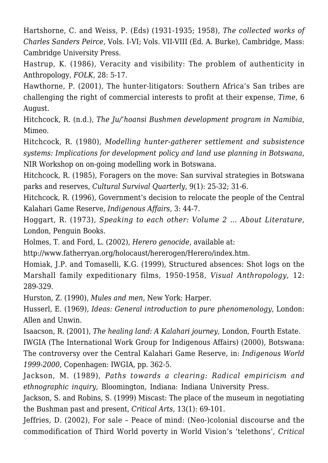Hartshorne, C. and Weiss, P. (Eds) (1931-1935; 1958), *The collected works of Charles Sanders Peirce*, Vols. I-VI; Vols. VII-VIII (Ed. A. Burke), Cambridge, Mass: Cambridge University Press.

Hastrup, K. (1986), Veracity and visibility: The problem of authenticity in Anthropology, *FOLK*, 28: 5-17.

Hawthorne, P. (2001), The hunter-litigators: Southern Africa's San tribes are challenging the right of commercial interests to profit at their expense, *Time*, 6 August.

Hitchcock, R. (n.d.), *The Ju/'hoansi Bushmen development program in Namibia*, Mimeo.

Hitchcock, R. (1980), *Modelling hunter-gatherer settlement and subsistence systems: Implications for development policy and land use planning in Botswana*, NIR Workshop on on-going modelling work in Botswana.

Hitchcock, R. (1985), Foragers on the move: San survival strategies in Botswana parks and reserves, *Cultural Survival Quarterly*, 9(1): 25-32; 31-6.

Hitchcock, R. (1996), Government's decision to relocate the people of the Central Kalahari Game Reserve, *Indigenous Affairs*, 3: 44-7.

Hoggart, R. (1973), *Speaking to each other: Volume 2 … About Literature*, London, Penguin Books.

Holmes, T. and Ford, L. (2002), *Herero genocide*, available at:

http://www.fatherryan.org/holocaust/hererogen/Herero/index.htm.

Homiak, J.P. and Tomaselli, K.G. (1999), Structured absences: Shot logs on the Marshall family expeditionary films, 1950-1958, *Visual Anthropology*, 12: 289-329.

Hurston, Z. (1990), *Mules and men*, New York: Harper.

Husserl, E. (1969), *Ideas: General introduction to pure phenomenology*, London: Allen and Unwin.

Isaacson, R. (2001), *The healing land: A Kalahari journey*, London, Fourth Estate.

IWGIA (The International Work Group for Indigenous Affairs) (2000), Botswana: The controversy over the Central Kalahari Game Reserve, in: *Indigenous World 1999-2000*, Copenhagen: IWGIA, pp. 362-5.

Jackson, M. (1989), *Paths towards a clearing: Radical empiricism and ethnographic inquiry*, Bloomington, Indiana: Indiana University Press.

Jackson, S. and Robins, S. (1999) Miscast: The place of the museum in negotiating the Bushman past and present, *Critical Arts*, 13(1): 69-101.

Jeffries, D. (2002), For sale – Peace of mind: (Neo-)colonial discourse and the commodification of Third World poverty in World Vision's 'telethons', *Critical*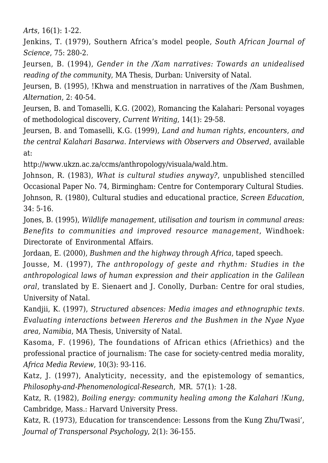*Arts*, 16(1): 1-22.

Jenkins, T. (1979), Southern Africa's model people, *South African Journal of Science*, 75: 280-2.

Jeursen, B. (1994), *Gender in the /Xam narratives: Towards an unidealised reading of the community*, MA Thesis, Durban: University of Natal.

Jeursen, B. (1995), !Khwa and menstruation in narratives of the /Xam Bushmen, *Alternation*, 2: 40-54.

Jeursen, B. and Tomaselli, K.G. (2002), Romancing the Kalahari: Personal voyages of methodological discovery, *Current Writing*, 14(1): 29-58.

Jeursen, B. and Tomaselli, K.G. (1999), *Land and human rights, encounters, and the central Kalahari Basarwa. Interviews with Observers and Observed*, available at:

http://www.ukzn.ac.za/ccms/anthropology/visuala/wald.htm.

Johnson, R. (1983), *What is cultural studies anyway?*, unpublished stencilled Occasional Paper No. 74, Birmingham: Centre for Contemporary Cultural Studies. Johnson, R. (1980), Cultural studies and educational practice, *Screen Education*, 34: 5-16.

Jones, B. (1995), *Wildlife management, utilisation and tourism in communal areas: Benefits to communities and improved resource management*, Windhoek: Directorate of Environmental Affairs.

Jordaan, E. (2000), *Bushmen and the highway through Africa*, taped speech.

Jousse, M. (1997), *The anthropology of geste and rhythm: Studies in the anthropological laws of human expression and their application in the Galilean oral*, translated by E. Sienaert and J. Conolly, Durban: Centre for oral studies, University of Natal.

Kandjii, K. (1997), *Structured absences: Media images and ethnographic texts. Evaluating interactions between Hereros and the Bushmen in the Nyae Nyae area, Namibia*, MA Thesis, University of Natal.

Kasoma, F. (1996), The foundations of African ethics (Afriethics) and the professional practice of journalism: The case for society-centred media morality, *Africa Media Review*, 10(3): 93-116.

Katz, J. (1997), Analyticity, necessity, and the epistemology of semantics, *Philosophy-and-Phenomenological-Research*, MR. 57(1): 1-28.

Katz, R. (1982), *Boiling energy: community healing among the Kalahari !Kung*, Cambridge, Mass.: Harvard University Press.

Katz, R. (1973), Education for transcendence: Lessons from the Kung Zhu/Twasi', *Journal of Transpersonal Psychology*, 2(1): 36-155.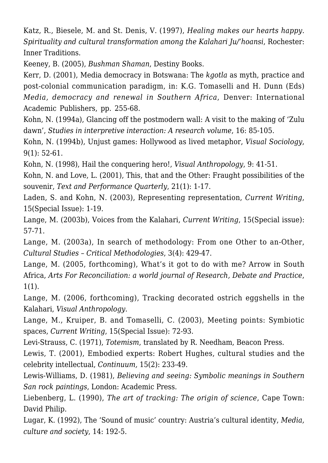Katz, R., Biesele, M. and St. Denis, V. (1997), *Healing makes our hearts happy. Spirituality and cultural transformation among the Kalahari Ju/'hoansi*, Rochester: Inner Traditions.

Keeney, B. (2005), *Bushman Shaman*, Destiny Books.

Kerr, D. (2001), Media democracy in Botswana: The *kgotla* as myth, practice and post-colonial communication paradigm, in: K.G. Tomaselli and H. Dunn (Eds) *Media, democracy and renewal in Southern Africa*, Denver: International Academic Publishers, pp. 255-68.

Kohn, N. (1994a), Glancing off the postmodern wall: A visit to the making of 'Zulu dawn', *Studies in interpretive interaction: A research volume*, 16: 85-105.

Kohn, N. (1994b), Unjust games: Hollywood as lived metaphor, *Visual Sociology*, 9(1): 52-61.

Kohn, N. (1998), Hail the conquering hero!, *Visual Anthropology*, 9: 41-51.

Kohn, N. and Love, L. (2001), This, that and the Other: Fraught possibilities of the souvenir, *Text and Performance Quarterly*, 21(1): 1-17.

Laden, S. and Kohn, N. (2003), Representing representation, *Current Writing*, 15(Special Issue): 1-19.

Lange, M. (2003b), Voices from the Kalahari, *Current Writing*, 15(Special issue): 57-71.

Lange, M. (2003a), In search of methodology: From one Other to an-Other, *Cultural Studies – Critical Methodologies*, 3(4): 429-47.

Lange, M. (2005, forthcoming), What's it got to do with me? Arrow in South Africa, *Arts For Reconciliation: a world journal of Research, Debate and Practice*, 1(1).

Lange, M. (2006, forthcoming), Tracking decorated ostrich eggshells in the Kalahari, *Visual Anthropology*.

Lange, M., Kruiper, B. and Tomaselli, C. (2003), Meeting points: Symbiotic spaces, *Current Writing*, 15(Special Issue): 72-93.

Levi-Strauss, C. (1971), *Totemism*, translated by R. Needham, Beacon Press.

Lewis, T. (2001), Embodied experts: Robert Hughes, cultural studies and the celebrity intellectual, *Continuum,* 15(2): 233-49.

Lewis-Williams, D. (1981), *Believing and seeing: Symbolic meanings in Southern San rock paintings*, London: Academic Press.

Liebenberg, L. (1990), *The art of tracking: The origin of science*, Cape Town: David Philip.

Lugar, K. (1992), The 'Sound of music' country: Austria's cultural identity, *Media, culture and society*, 14: 192-5.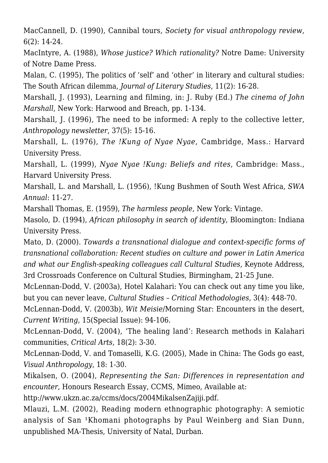MacCannell, D. (1990), Cannibal tours, *Society for visual anthropology review*, 6(2): 14-24.

MacIntyre, A. (1988), *Whose justice? Which rationality?* Notre Dame: University of Notre Dame Press.

Malan, C. (1995), The politics of 'self' and 'other' in literary and cultural studies: The South African dilemma, *Journal of Literary Studies*, 11(2): 16-28.

Marshall, J. (1993), Learning and filming, in: J. Ruby (Ed.) *The cinema of John Marshall*, New York: Harwood and Breach, pp. 1-134.

Marshall, J. (1996), The need to be informed: A reply to the collective letter, *Anthropology newsletter*, 37(5): 15-16.

Marshall, L. (1976), *The !Kung of Nyae Nyae*, Cambridge, Mass.: Harvard University Press.

Marshall, L. (1999), *Nyae Nyae !Kung: Beliefs and rites*, Cambridge: Mass., Harvard University Press.

Marshall, L. and Marshall, L. (1956), !Kung Bushmen of South West Africa, *SWA Annual*: 11-27.

Marshall Thomas, E. (1959), *The harmless people*, New York: Vintage.

Masolo, D. (1994), *African philosophy in search of identity*, Bloomington: Indiana University Press.

Mato, D. (2000). *Towards a transnational dialogue and context-specific forms of transnational collaboration: Recent studies on culture and power in Latin America and what our English-speaking colleagues call Cultural Studies*, Keynote Address, 3rd Crossroads Conference on Cultural Studies, Birmingham, 21-25 June.

McLennan-Dodd, V. (2003a), Hotel Kalahari: You can check out any time you like, but you can never leave, *Cultural Studies – Critical Methodologies*, 3(4): 448-70.

McLennan-Dodd, V. (2003b), *Wit Meisie*/Morning Star: Encounters in the desert, *Current Writing*, 15(Special Issue): 94-106.

McLennan-Dodd, V. (2004), 'The healing land': Research methods in Kalahari communities, *Critical Arts*, 18(2): 3-30.

McLennan-Dodd, V. and Tomaselli, K.G. (2005), Made in China: The Gods go east, *Visual Anthropology*, 18: 1-30.

Mikalsen, O. (2004), *Representing the San: Differences in representation and encounter*, Honours Research Essay, CCMS, Mimeo, Available at:

http://www.ukzn.ac.za/ccms/docs/2004MikalsenZajiji.pdf.

Mlauzi, L.M. (2002), Reading modern ethnographic photography: A semiotic analysis of San <sup>1</sup>Khomani photographs by Paul Weinberg and Sian Dunn, unpublished MA-Thesis, University of Natal, Durban.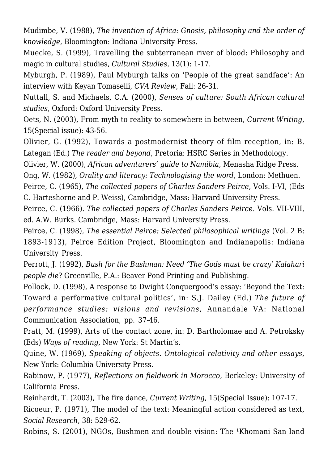Mudimbe, V. (1988), *The invention of Africa: Gnosis, philosophy and the order of knowledge*, Bloomington: Indiana University Press.

Muecke, S. (1999), Travelling the subterranean river of blood: Philosophy and magic in cultural studies, *Cultural Studies*, 13(1): 1-17.

Myburgh, P. (1989), Paul Myburgh talks on 'People of the great sandface': An interview with Keyan Tomaselli, *CVA Review*, Fall: 26-31.

Nuttall, S. and Michaels, C.A. (2000), *Senses of culture: South African cultural studies*, Oxford: Oxford University Press.

Oets, N. (2003), From myth to reality to somewhere in between, *Current Writing*, 15(Special issue): 43-56.

Olivier, G. (1992), Towards a postmodernist theory of film reception, in: B. Lategan (Ed.) *The reader and beyond*, Pretoria: HSRC Series in Methodology.

Olivier, W. (2000), *African adventurers' guide to Namibia*, Menasha Ridge Press.

Ong, W. (1982), *Orality and literacy: Technologising the word*, London: Methuen.

Peirce, C. (1965), *The collected papers of Charles Sanders Peirce*, Vols. I-VI, (Eds C. Harteshorne and P. Weiss), Cambridge, Mass: Harvard University Press.

Peirce, C. (1966). *The collected papers of Charles Sanders Peirce*. Vols. VII-VIII, ed. A.W. Burks. Cambridge, Mass: Harvard University Press.

Peirce, C. (1998), *The essential Peirce: Selected philosophical writings* (Vol. 2 B: 1893-1913), Peirce Edition Project, Bloomington and Indianapolis: Indiana University Press.

Perrott, J. (1992), *Bush for the Bushman: Need 'The Gods must be crazy' Kalahari people die*? Greenville, P.A.: Beaver Pond Printing and Publishing.

Pollock, D. (1998), A response to Dwight Conquergood's essay: 'Beyond the Text: Toward a performative cultural politics', in: S.J. Dailey (Ed.) *The future of performance studies: visions and revisions*, Annandale VA: National Communication Association, pp. 37-46.

Pratt, M. (1999), Arts of the contact zone, in: D. Bartholomae and A. Petroksky (Eds) *Ways of reading*, New York: St Martin's.

Quine, W. (1969), *Speaking of objects. Ontological relativity and other essays*, New York: Columbia University Press.

Rabinow, P. (1977), *Reflections on fieldwork in Morocco*, Berkeley: University of California Press.

Reinhardt, T. (2003), The fire dance, *Current Writing*, 15(Special Issue): 107-17. Ricoeur, P. (1971), The model of the text: Meaningful action considered as text, *Social Research*, 38: 529-62.

Robins, S. (2001), NGOs, Bushmen and double vision: The <sup>1</sup>Khomani San land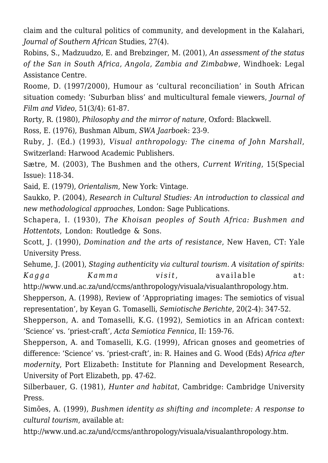claim and the cultural politics of community, and development in the Kalahari, *Journal of Southern African* Studies, 27(4).

Robins, S., Madzuudzo, E. and Brebzinger, M. (2001), *An assessment of the status of the San in South Africa, Angola, Zambia and Zimbabwe*, Windhoek: Legal Assistance Centre.

Roome, D. (1997/2000), Humour as 'cultural reconciliation' in South African situation comedy: 'Suburban bliss' and multicultural female viewers, *Journal of Film and Video*, 51(3/4): 61-87.

Rorty, R. (1980), *Philosophy and the mirror of nature*, Oxford: Blackwell.

Ross, E. (1976), Bushman Album, *SWA Jaarboek*: 23-9.

Ruby, J. (Ed.) (1993), *Visual anthropology: The cinema of John Marshall*, Switzerland: Harwood Academic Publishers.

Sætre, M. (2003), The Bushmen and the others, *Current Writing*, 15(Special Issue): 118-34.

Said, E. (1979), *Orientalism*, New York: Vintage.

Saukko, P. (2004), *Research in Cultural Studies: An introduction to classical and new methodological approaches*, London: Sage Publications.

Schapera, I. (1930), *The Khoisan peoples of South Africa: Bushmen and Hottentots*, London: Routledge & Sons.

Scott, J. (1990), *Domination and the arts of resistance*, New Haven, CT: Yale University Press.

Sehume, J. (2001), *Staging authenticity via cultural tourism. A visitation of spirits: Kagga Kamma visit*, available at: http://www.und.ac.za/und/ccms/anthropology/visuala/visualanthropology.htm.

Shepperson, A. (1998), Review of 'Appropriating images: The semiotics of visual representation', by Keyan G. Tomaselli, *Semiotische Berichte*, 20(2-4): 347-52.

Shepperson, A. and Tomaselli, K.G. (1992), Semiotics in an African context: 'Science' vs. 'priest-craft', *Acta Semiotica Fennica*, II: 159-76.

Shepperson, A. and Tomaselli, K.G. (1999), African gnoses and geometries of difference: 'Science' vs. 'priest-craft', in: R. Haines and G. Wood (Eds) *Africa after modernity*, Port Elizabeth: Institute for Planning and Development Research, University of Port Elizabeth, pp. 47-62.

Silberbauer, G. (1981), *Hunter and habitat*, Cambridge: Cambridge University Press.

Simões, A. (1999), *Bushmen identity as shifting and incomplete: A response to cultural tourism*, available at:

http://www.und.ac.za/und/ccms/anthropology/visuala/visualanthropology.htm.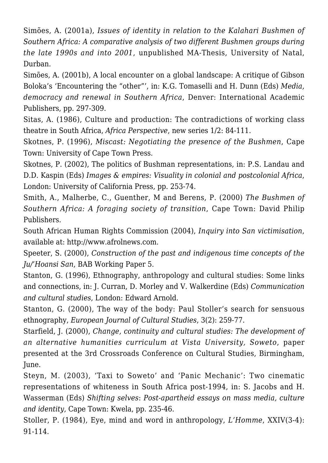Simões, A. (2001a), *Issues of identity in relation to the Kalahari Bushmen of Southern Africa: A comparative analysis of two different Bushmen groups during the late 1990s and into 2001*, unpublished MA-Thesis, University of Natal, Durban.

Simões, A. (2001b), A local encounter on a global landscape: A critique of Gibson Boloka's 'Encountering the "other"', in: K.G. Tomaselli and H. Dunn (Eds) *Media, democracy and renewal in Southern Africa*, Denver: International Academic Publishers, pp. 297-309.

Sitas, A. (1986), Culture and production: The contradictions of working class theatre in South Africa, *Africa Perspective*, new series 1/2: 84-111.

Skotnes, P. (1996), *Miscast: Negotiating the presence of the Bushmen*, Cape Town: University of Cape Town Press.

Skotnes, P. (2002), The politics of Bushman representations, in: P.S. Landau and D.D. Kaspin (Eds) *Images & empires: Visuality in colonial and postcolonial Africa*, London: University of California Press, pp. 253-74.

Smith, A., Malherbe, C., Guenther, M and Berens, P. (2000) *The Bushmen of Southern Africa: A foraging society of transition*, Cape Town: David Philip Publishers.

South African Human Rights Commission (2004), *Inquiry into San victimisation*, available at: http://www.afrolnews.com.

Speeter, S. (2000), *Construction of the past and indigenous time concepts of the Ju/'Hoansi San*, BAB Working Paper 5.

Stanton, G. (1996), Ethnography, anthropology and cultural studies: Some links and connections, in: J. Curran, D. Morley and V. Walkerdine (Eds) *Communication and cultural studies*, London: Edward Arnold.

Stanton, G. (2000), The way of the body: Paul Stoller's search for sensuous ethnography, *European Journal of Cultural Studies*, 3(2): 259-77.

Starfield, J. (2000), *Change, continuity and cultural studies: The development of an alternative humanities curriculum at Vista University, Soweto*, paper presented at the 3rd Crossroads Conference on Cultural Studies, Birmingham, June.

Steyn, M. (2003), 'Taxi to Soweto' and 'Panic Mechanic': Two cinematic representations of whiteness in South Africa post-1994, in: S. Jacobs and H. Wasserman (Eds) *Shifting selves*: *Post-apartheid essays on mass media, culture and identity*, Cape Town: Kwela, pp. 235-46.

Stoller, P. (1984), Eye, mind and word in anthropology, *L'Homme*, XXIV(3-4): 91-114.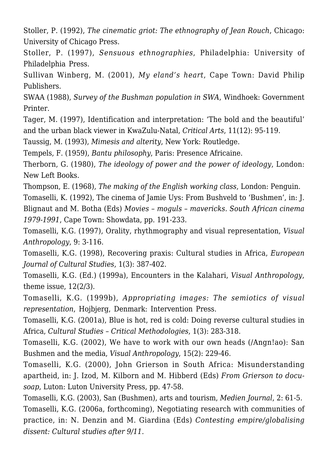Stoller, P. (1992), *The cinematic griot: The ethnography of Jean Rouch*, Chicago: University of Chicago Press.

Stoller, P. (1997), *Sensuous ethnographies*, Philadelphia: University of Philadelphia Press.

Sullivan Winberg, M. (2001), *My eland's heart*, Cape Town: David Philip Publishers.

SWAA (1988), *Survey of the Bushman population in SWA*, Windhoek: Government Printer.

Tager, M. (1997), Identification and interpretation: 'The bold and the beautiful' and the urban black viewer in KwaZulu-Natal, *Critical Arts*, 11(12): 95-119.

Taussig, M. (1993), *Mimesis and alterity*, New York: Routledge.

Tempels, F. (1959), *Bantu philosophy*, Paris: Presence Africaine.

Therborn, G. (1980), *The ideology of power and the power of ideology*, London: New Left Books.

Thompson, E. (1968), *The making of the English working class*, London: Penguin.

Tomaselli, K. (1992), The cinema of Jamie Uys: From Bushveld to 'Bushmen', in: J. Blignaut and M. Botha (Eds) *Movies – moguls – mavericks. South African cinema 1979-1991*, Cape Town: Showdata, pp. 191-233.

Tomaselli, K.G. (1997), Orality, rhythmography and visual representation, *Visual Anthropology*, 9: 3-116.

Tomaselli, K.G. (1998), Recovering praxis: Cultural studies in Africa, *European Journal of Cultural Studies*, 1(3): 387-402.

Tomaselli, K.G. (Ed.) (1999a), Encounters in the Kalahari, *Visual Anthropology*, theme issue, 12(2/3).

Tomaselli, K.G. (1999b), *Appropriating images: The semiotics of visual representation*, Hojbjerg, Denmark: Intervention Press.

Tomaselli, K.G. (2001a), Blue is hot, red is cold: Doing reverse cultural studies in Africa, *Cultural Studies – Critical Methodologies*, 1(3): 283-318.

Tomaselli, K.G. (2002), We have to work with our own heads (/Angn!ao): San Bushmen and the media, *Visual Anthropology*, 15(2): 229-46.

Tomaselli, K.G. (2000), John Grierson in South Africa: Misunderstanding apartheid, in: J. Izod, M. Kilborn and M. Hibberd (Eds) *From Grierson to docusoap*, Luton: Luton University Press, pp. 47-58.

Tomaselli, K.G. (2003), San (Bushmen), arts and tourism, *Medien Journal*, 2: 61-5. Tomaselli, K.G. (2006a, forthcoming), Negotiating research with communities of practice, in: N. Denzin and M. Giardina (Eds) *Contesting empire/globalising dissent: Cultural studies after 9/11*.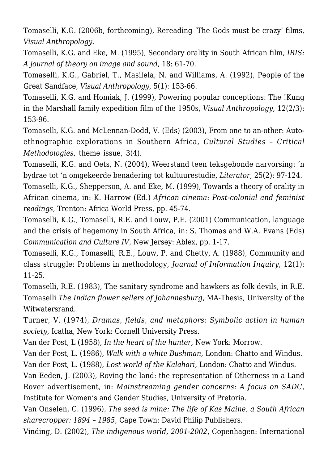Tomaselli, K.G. (2006b, forthcoming), Rereading 'The Gods must be crazy' films, *Visual Anthropology*.

Tomaselli, K.G. and Eke, M. (1995), Secondary orality in South African film, *IRIS: A journal of theory on image and sound*, 18: 61-70.

Tomaselli, K.G., Gabriel, T., Masilela, N. and Williams, A. (1992), People of the Great Sandface, *Visual Anthropology*, 5(1): 153-66.

Tomaselli, K.G. and Homiak, J. (1999), Powering popular conceptions: The !Kung in the Marshall family expedition film of the 1950s, *Visual Anthropology*, 12(2/3): 153-96.

Tomaselli, K.G. and McLennan-Dodd, V. (Eds) (2003), From one to an-other: Autoethnographic explorations in Southern Africa, *Cultural Studies – Critical Methodologies*, theme issue, 3(4).

Tomaselli, K.G. and Oets, N. (2004), Weerstand teen teksgebonde narvorsing: 'n bydrae tot 'n omgekeerde benadering tot kultuurestudie, *Literator*, 25(2): 97-124.

Tomaselli, K.G., Shepperson, A. and Eke, M. (1999), Towards a theory of orality in African cinema, in: K. Harrow (Ed.) *African cinema: Post-colonial and feminist readings*, Trenton: Africa World Press, pp. 45-74.

Tomaselli, K.G., Tomaselli, R.E. and Louw, P.E. (2001) Communication, language and the crisis of hegemony in South Africa, in: S. Thomas and W.A. Evans (Eds) *Communication and Culture IV*, New Jersey: Ablex, pp. 1-17.

Tomaselli, K.G., Tomaselli, R.E., Louw, P. and Chetty, A. (1988), Community and class struggle: Problems in methodology, *Journal of Information Inquiry*, 12(1): 11-25.

Tomaselli, R.E. (1983), The sanitary syndrome and hawkers as folk devils, in R.E. Tomaselli *The Indian flower sellers of Johannesburg*, MA-Thesis, University of the Witwatersrand.

Turner, V. (1974), *Dramas, fields, and metaphors: Symbolic action in human society*, Icatha, New York: Cornell University Press.

Van der Post, L (1958), *In the heart of the hunter*, New York: Morrow.

Van der Post, L. (1986), *Walk with a white Bushman*, London: Chatto and Windus. Van der Post, L. (1988), *Lost world of the Kalahari*, London: Chatto and Windus.

Van Eeden, J. (2003), Roving the land: the representation of Otherness in a Land Rover advertisement, in: *Mainstreaming gender concerns: A focus on SADC*, Institute for Women's and Gender Studies, University of Pretoria.

Van Onselen, C. (1996), *The seed is mine: The life of Kas Maine, a South African sharecropper: 1894 – 1985*, Cape Town: David Philip Publishers.

Vinding, D. (2002), *The indigenous world, 2001-2002*, Copenhagen: International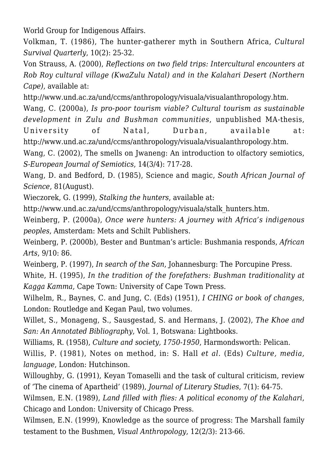World Group for Indigenous Affairs.

Volkman, T. (1986), The hunter-gatherer myth in Southern Africa, *Cultural Survival Quarterly*, 10(2): 25-32.

Von Strauss, A. (2000), *Reflections on two field trips: Intercultural encounters at Rob Roy cultural village (KwaZulu Natal) and in the Kalahari Desert (Northern Cape)*, available at:

http://www.und.ac.za/und/ccms/anthropology/visuala/visualanthropology.htm.

Wang, C. (2000a), *Is pro-poor tourism viable? Cultural tourism as sustainable development in Zulu and Bushman communities*, unpublished MA-thesis, University of Natal, Durban, available at: http://www.und.ac.za/und/ccms/anthropology/visuala/visualanthropology.htm.

Wang, C. (2002), The smells on Jwaneng: An introduction to olfactory semiotics, *S-European Journal of Semiotics*, 14(3/4): 717-28*.*

Wang, D. and Bedford, D. (1985), Science and magic, *South African Journal of Science*, 81(August).

Wieczorek, G. (1999), *Stalking the hunters*, available at:

http://www.und.ac.za/und/ccms/anthropology/visuala/stalk\_hunters.htm.

Weinberg, P. (2000a), *Once were hunters: A journey with Africa's indigenous peoples*, Amsterdam: Mets and Schilt Publishers.

Weinberg, P. (2000b), Bester and Buntman's article: Bushmania responds, *African Arts*, 9/10: 86.

Weinberg, P. (1997), *In search of the San*, Johannesburg: The Porcupine Press.

White, H. (1995), *In the tradition of the forefathers: Bushman traditionality at Kagga Kamma*, Cape Town: University of Cape Town Press.

Wilhelm, R., Baynes, C. and Jung, C. (Eds) (1951), *I CHING or book of changes*, London: Routledge and Kegan Paul, two volumes.

Willet, S., Monageng, S., Sausgestad, S. and Hermans, J. (2002), *The Khoe and San: An Annotated Bibliography*, Vol. 1, Botswana: Lightbooks.

Williams, R. (1958), *Culture and society, 1750-1950*, Harmondsworth: Pelican.

Willis, P. (1981), Notes on method, in: S. Hall *et al.* (Eds) *Culture, media, language*, London: Hutchinson.

Willoughby, G. (1991), Keyan Tomaselli and the task of cultural criticism, review of 'The cinema of Apartheid' (1989), *Journal of Literary Studies*, 7(1): 64-75.

Wilmsen, E.N. (1989), *Land filled with flies: A political economy of the Kalahari*, Chicago and London: University of Chicago Press.

Wilmsen, E.N. (1999), Knowledge as the source of progress: The Marshall family testament to the Bushmen, *Visual Anthropology*, 12(2/3): 213-66.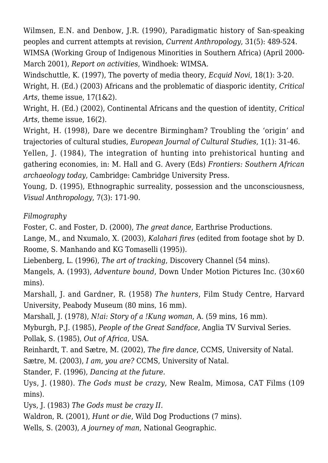Wilmsen, E.N. and Denbow, J.R. (1990), Paradigmatic history of San-speaking peoples and current attempts at revision, *Current Anthropology*, 31(5): 489-524. WIMSA (Working Group of Indigenous Minorities in Southern Africa) (April 2000- March 2001), *Report on activities*, Windhoek: WIMSA.

Windschuttle, K. (1997), The poverty of media theory, *Ecquid Novi*, 18(1): 3-20. Wright, H. (Ed.) (2003) Africans and the problematic of diasporic identity, *Critical Arts*, theme issue, 17(1&2).

Wright, H. (Ed.) (2002), Continental Africans and the question of identity, *Critical Arts*, theme issue, 16(2).

Wright, H. (1998). Dare we decentre Birmingham? Troubling the 'origin' and trajectories of cultural studies, *European Journal of Cultural Studies*, 1(1): 31-46.

Yellen, J. (1984), The integration of hunting into prehistorical hunting and gathering economies, in: M. Hall and G. Avery (Eds) *Frontiers: Southern African archaeology today*, Cambridge: Cambridge University Press.

Young, D. (1995), Ethnographic surreality, possession and the unconsciousness, *Visual Anthropology*, 7(3): 171-90.

## *Filmography*

Foster, C. and Foster, D. (2000), *The great dance*, Earthrise Productions.

Lange, M., and Nxumalo, X. (2003), *Kalahari fires* (edited from footage shot by D. Roome, S. Manhando and KG Tomaselli (1995)).

Liebenberg, L. (1996), *The art of tracking*, Discovery Channel (54 mins).

Mangels, A. (1993), *Adventure bound*, Down Under Motion Pictures Inc. (30×60 mins).

Marshall, J. and Gardner, R. (1958) *The hunters*, Film Study Centre, Harvard University, Peabody Museum (80 mins, 16 mm).

Marshall, J. (1978), *N!ai: Story of a !Kung woman*, A. (59 mins, 16 mm).

Myburgh, P.J. (1985), *People of the Great Sandface*, Anglia TV Survival Series.

Pollak, S. (1985), *Out of Africa*, USA.

Reinhardt, T. and Sætre, M*.* (2002), *The fire dance*, CCMS, University of Natal.

Sætre, M. (2003), *I am, you are?* CCMS, University of Natal.

Stander, F. (1996), *Dancing at the future*.

Uys, J. (1980). *The Gods must be crazy*, New Realm, Mimosa, CAT Films (109 mins).

Uys, J. (1983) *The Gods must be crazy II.*

Waldron, R. (2001), *Hunt or die*, Wild Dog Productions (7 mins).

Wells, S. (2003), *A journey of man*, National Geographic.